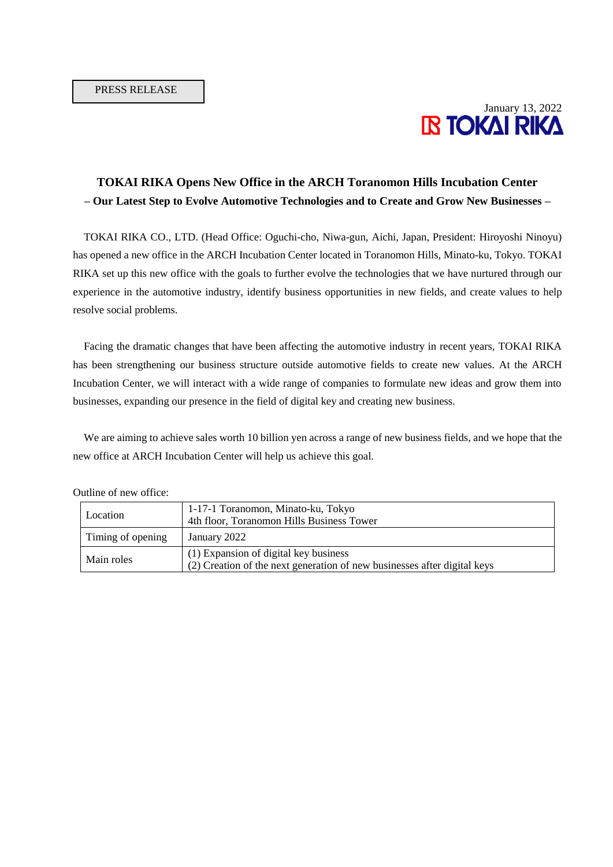

## **TOKAI RIKA Opens New Office in the ARCH Toranomon Hills Incubation Center – Our Latest Step to Evolve Automotive Technologies and to Create and Grow New Businesses –**

TOKAI RIKA CO., LTD. (Head Office: Oguchi-cho, Niwa-gun, Aichi, Japan, President: Hiroyoshi Ninoyu) has opened a new office in the ARCH Incubation Center located in Toranomon Hills, Minato-ku, Tokyo. TOKAI RIKA set up this new office with the goals to further evolve the technologies that we have nurtured through our experience in the automotive industry, identify business opportunities in new fields, and create values to help resolve social problems.

Facing the dramatic changes that have been affecting the automotive industry in recent years, TOKAI RIKA has been strengthening our business structure outside automotive fields to create new values. At the ARCH Incubation Center, we will interact with a wide range of companies to formulate new ideas and grow them into businesses, expanding our presence in the field of digital key and creating new business.

We are aiming to achieve sales worth 10 billion yen across a range of new business fields, and we hope that the new office at ARCH Incubation Center will help us achieve this goal.

| Location          | 1-17-1 Toranomon, Minato-ku, Tokyo<br>4th floor, Toranomon Hills Business Tower                                   |
|-------------------|-------------------------------------------------------------------------------------------------------------------|
| Timing of opening | January 2022                                                                                                      |
| Main roles        | (1) Expansion of digital key business<br>(2) Creation of the next generation of new businesses after digital keys |

Outline of new office: